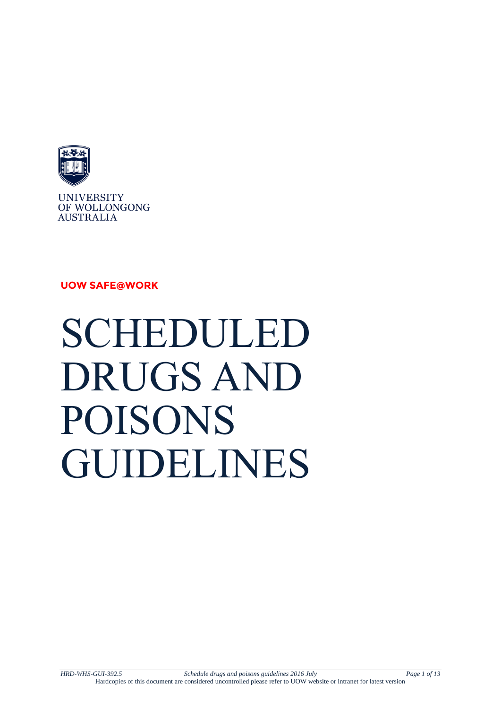

**UOW SAFE@WORK**





*HRD-WHS-GUI-392.5 Schedule drugs and poisons guidelines 2016 July Page 1 of 13* Hardcopies of this document are considered uncontrolled please refer to UOW website or intranet for latest version

SCHEDULED DRUGS AND POISONS GUIDELINES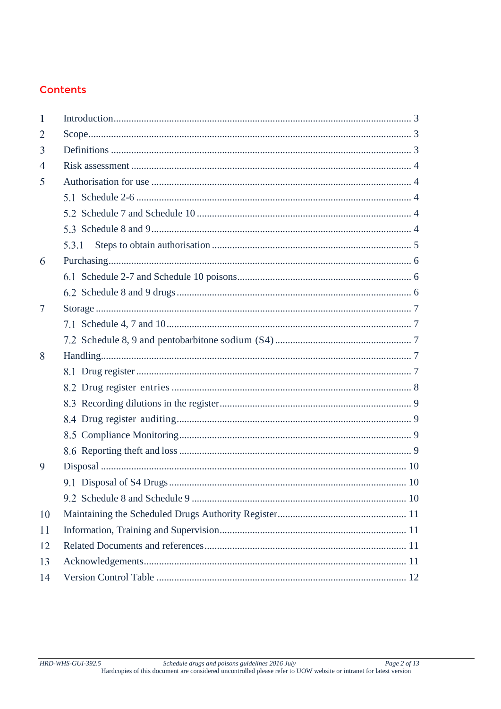### **Contents**

| 1  |       |  |  |
|----|-------|--|--|
| 2  |       |  |  |
| 3  |       |  |  |
| 4  |       |  |  |
| 5  |       |  |  |
|    |       |  |  |
|    |       |  |  |
|    |       |  |  |
|    | 5.3.1 |  |  |
| 6  |       |  |  |
|    |       |  |  |
|    |       |  |  |
| 7  |       |  |  |
|    |       |  |  |
|    |       |  |  |
| 8  |       |  |  |
|    |       |  |  |
|    |       |  |  |
|    |       |  |  |
|    |       |  |  |
|    |       |  |  |
|    |       |  |  |
| 9  |       |  |  |
|    |       |  |  |
|    |       |  |  |
| 10 |       |  |  |
| 11 |       |  |  |
| 12 |       |  |  |
| 13 |       |  |  |
| 14 |       |  |  |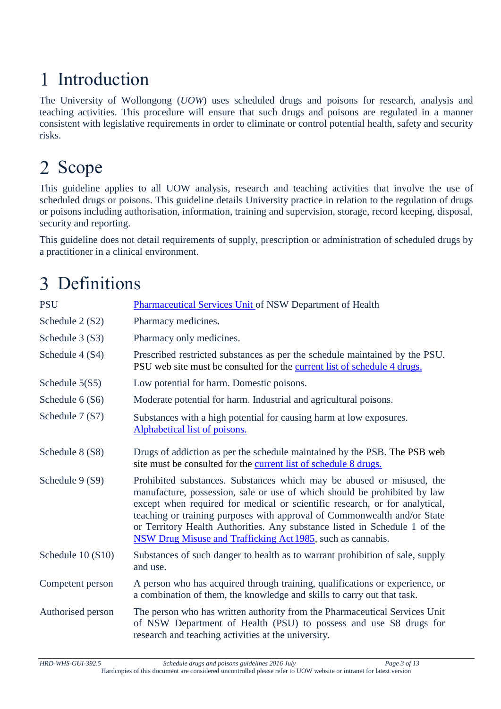# <span id="page-2-0"></span>1 Introduction

The University of Wollongong (*UOW*) uses scheduled drugs and poisons for research, analysis and teaching activities. This procedure will ensure that such drugs and poisons are regulated in a manner consistent with legislative requirements in order to eliminate or control potential health, safety and security risks.

# <span id="page-2-1"></span>2 Scope

This guideline applies to all UOW analysis, research and teaching activities that involve the use of scheduled drugs or poisons. This guideline details University practice in relation to the regulation of drugs or poisons including authorisation, information, training and supervision, storage, record keeping, disposal, security and reporting.

This guideline does not detail requirements of supply, prescription or administration of scheduled drugs by a practitioner in a clinical environment.

# <span id="page-2-2"></span>3 Definitions

| <b>PSU</b>        | Pharmaceutical Services Unit of NSW Department of Health                                                                                                                                                                                                                                                                                                                                                                                                   |
|-------------------|------------------------------------------------------------------------------------------------------------------------------------------------------------------------------------------------------------------------------------------------------------------------------------------------------------------------------------------------------------------------------------------------------------------------------------------------------------|
| Schedule 2 (S2)   | Pharmacy medicines.                                                                                                                                                                                                                                                                                                                                                                                                                                        |
| Schedule 3 (S3)   | Pharmacy only medicines.                                                                                                                                                                                                                                                                                                                                                                                                                                   |
| Schedule 4 (S4)   | Prescribed restricted substances as per the schedule maintained by the PSU.<br>PSU web site must be consulted for the current list of schedule 4 drugs.                                                                                                                                                                                                                                                                                                    |
| Schedule 5(S5)    | Low potential for harm. Domestic poisons.                                                                                                                                                                                                                                                                                                                                                                                                                  |
| Schedule 6 (S6)   | Moderate potential for harm. Industrial and agricultural poisons.                                                                                                                                                                                                                                                                                                                                                                                          |
| Schedule 7 (S7)   | Substances with a high potential for causing harm at low exposures.<br>Alphabetical list of poisons.                                                                                                                                                                                                                                                                                                                                                       |
| Schedule 8 (S8)   | Drugs of addiction as per the schedule maintained by the PSB. The PSB web<br>site must be consulted for the current list of schedule 8 drugs.                                                                                                                                                                                                                                                                                                              |
| Schedule 9 (S9)   | Prohibited substances. Substances which may be abused or misused, the<br>manufacture, possession, sale or use of which should be prohibited by law<br>except when required for medical or scientific research, or for analytical,<br>teaching or training purposes with approval of Commonwealth and/or State<br>or Territory Health Authorities. Any substance listed in Schedule 1 of the<br>NSW Drug Misuse and Trafficking Act 1985, such as cannabis. |
| Schedule 10 (S10) | Substances of such danger to health as to warrant prohibition of sale, supply<br>and use.                                                                                                                                                                                                                                                                                                                                                                  |
| Competent person  | A person who has acquired through training, qualifications or experience, or<br>a combination of them, the knowledge and skills to carry out that task.                                                                                                                                                                                                                                                                                                    |
| Authorised person | The person who has written authority from the Pharmaceutical Services Unit<br>of NSW Department of Health (PSU) to possess and use S8 drugs for<br>research and teaching activities at the university.                                                                                                                                                                                                                                                     |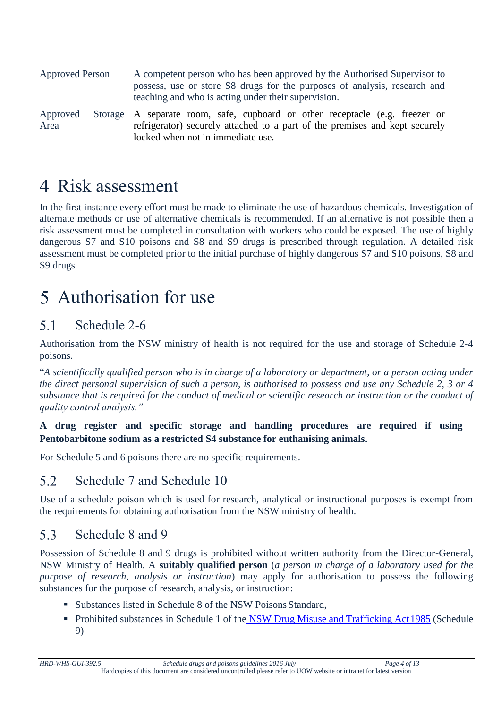| <b>Approved Person</b> | A competent person who has been approved by the Authorised Supervisor to<br>possess, use or store S8 drugs for the purposes of analysis, research and<br>teaching and who is acting under their supervision. |  |  |  |  |
|------------------------|--------------------------------------------------------------------------------------------------------------------------------------------------------------------------------------------------------------|--|--|--|--|
| Approved<br>Area       | Storage A separate room, safe, cupboard or other receptacle (e.g. freezer or<br>refrigerator) securely attached to a part of the premises and kept securely<br>locked when not in immediate use.             |  |  |  |  |

### <span id="page-3-0"></span>4 Risk assessment

In the first instance every effort must be made to eliminate the use of hazardous chemicals. Investigation of alternate methods or use of alternative chemicals is recommended. If an alternative is not possible then a risk assessment must be completed in consultation with workers who could be exposed. The use of highly dangerous S7 and S10 poisons and S8 and S9 drugs is prescribed through regulation. A detailed risk assessment must be completed prior to the initial purchase of highly dangerous S7 and S10 poisons, S8 and S9 drugs.

### <span id="page-3-1"></span>Authorisation for use

### <span id="page-3-2"></span> $5.1$ Schedule 2-6

Authorisation from the NSW ministry of health is not required for the use and storage of Schedule 2-4 poisons.

"*A scientifically qualified person who is in charge of a laboratory or department, or a person acting under the direct personal supervision of such a person, is authorised to possess and use any Schedule 2, 3 or 4 substance that is required for the conduct of medical or scientific research or instruction or the conduct of quality control analysis."*

### **A drug register and specific storage and handling procedures are required if using Pentobarbitone sodium as a restricted S4 substance for euthanising animals.**

For Schedule 5 and 6 poisons there are no specific requirements.

#### <span id="page-3-3"></span> $5.2$ Schedule 7 and Schedule 10

Use of a schedule poison which is used for research, analytical or instructional purposes is exempt from the requirements for obtaining authorisation from the NSW ministry of health.

#### <span id="page-3-4"></span>5.3 Schedule 8 and 9

Possession of Schedule 8 and 9 drugs is prohibited without written authority from the Director-General, NSW Ministry of Health. A **suitably qualified person** (*a person in charge of a laboratory used for the purpose of research, analysis or instruction*) may apply for authorisation to possess the following substances for the purpose of research, analysis, or instruction:

- Substances listed in Schedule 8 of the NSW Poisons Standard,
- Prohibited substances in Schedule 1 of the NSW Drug Misuse and Trafficking Act 1985 (Schedule 9)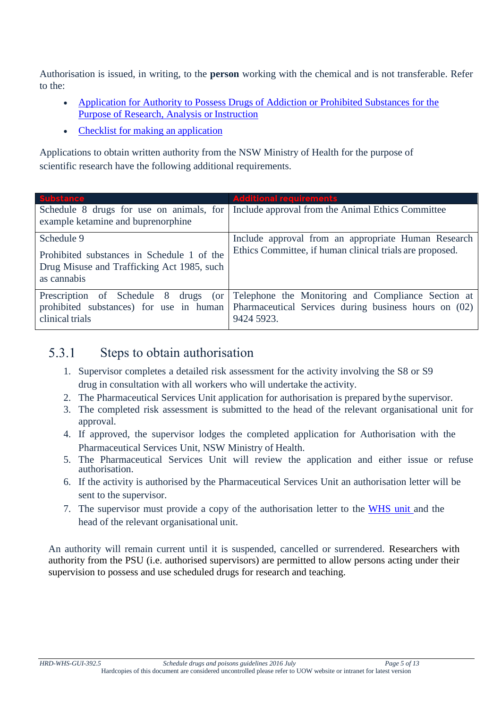Authorisation is issued, in writing, to the **person** working with the chemical and is not transferable. Refer to the:

- [Application for Authority to Possess Drugs of Addiction or Prohibited Substances for the](http://www.health.nsw.gov.au/pharmaceutical/Documents/apdp.pdf)  [Purpose of Research, Analysis or](http://www.health.nsw.gov.au/pharmaceutical/Documents/apdp.pdf) Instruction
- [Checklist for making an](http://www.health.nsw.gov.au/pharmaceutical/Documents/apdp-checklist.pdf) application

Applications to obtain written authority from the NSW Ministry of Health for the purpose of scientific research have the following additional requirements.

| <b>Substance</b>                                                                                        | <b>Additional requirements</b>                                                                                            |  |  |
|---------------------------------------------------------------------------------------------------------|---------------------------------------------------------------------------------------------------------------------------|--|--|
| Schedule 8 drugs for use on animals, for                                                                | Include approval from the Animal Ethics Committee                                                                         |  |  |
| example ketamine and buprenorphine                                                                      |                                                                                                                           |  |  |
| Schedule 9                                                                                              | Include approval from an appropriate Human Research                                                                       |  |  |
| Prohibited substances in Schedule 1 of the<br>Drug Misuse and Trafficking Act 1985, such<br>as cannabis | Ethics Committee, if human clinical trials are proposed.                                                                  |  |  |
| Prescription of Schedule 8 drugs (or<br>prohibited substances) for use in human<br>clinical trials      | Telephone the Monitoring and Compliance Section at<br>Pharmaceutical Services during business hours on (02)<br>9424 5923. |  |  |

#### <span id="page-4-0"></span>5.3.1 Steps to obtain authorisation

- 1. Supervisor completes a detailed risk assessment for the activity involving the S8 or S9 drug in consultation with all workers who will undertake the activity.
- 2. The Pharmaceutical Services Unit application for authorisation is prepared bythe supervisor.
- 3. The completed risk assessment is submitted to the head of the relevant organisational unit for approval.
- 4. If approved, the supervisor lodges the completed application for Authorisation with the Pharmaceutical Services Unit, NSW Ministry of Health.
- 5. The Pharmaceutical Services Unit will review the application and either issue or refuse authorisation.
- 6. If the activity is authorised by the Pharmaceutical Services Unit an authorisation letter will be sent to the supervisor.
- 7. The supervisor must provide a copy of the authorisation letter to the WHS unit and the head of the relevant organisational unit.

An authority will remain current until it is suspended, cancelled or surrendered. Researchers with authority from the PSU (i.e. authorised supervisors) are permitted to allow persons acting under their supervision to possess and use scheduled drugs for research and teaching.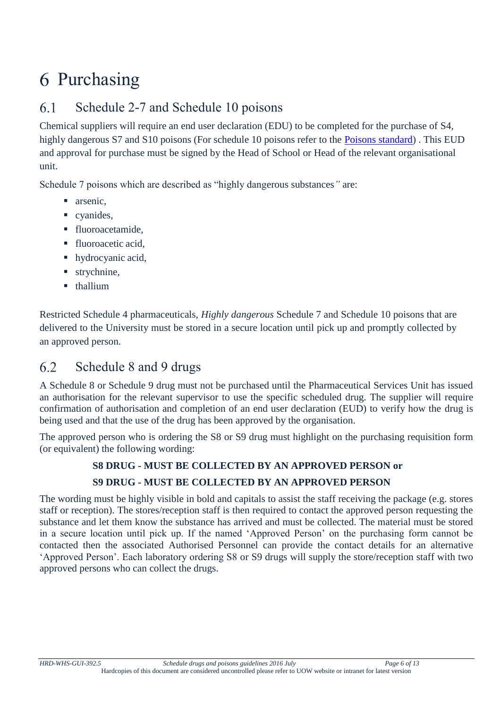## <span id="page-5-0"></span>6 Purchasing

### <span id="page-5-1"></span>6.1 Schedule 2-7 and Schedule 10 poisons

Chemical suppliers will require an end user declaration (EDU) to be completed for the purchase of S4, highly dangerous S7 and S10 poisons (For schedule 10 poisons refer to the [Poisons standard\)](https://www.legislation.gov.au/Details/F2016L01071). This EUD and approval for purchase must be signed by the Head of School or Head of the relevant organisational unit.

Schedule 7 poisons which are described as "highly dangerous substances*"* are:

- narsenic.
- cyanides,
- **fluoroacetamide.**
- fluoroacetic acid.
- hydrocyanic acid,
- strychnine,
- **thallium**

Restricted Schedule 4 pharmaceuticals, *Highly dangerous* Schedule 7 and Schedule 10 poisons that are delivered to the University must be stored in a secure location until pick up and promptly collected by an approved person.

#### <span id="page-5-2"></span>6.2 Schedule 8 and 9 drugs

A Schedule 8 or Schedule 9 drug must not be purchased until the Pharmaceutical Services Unit has issued an authorisation for the relevant supervisor to use the specific scheduled drug. The supplier will require confirmation of authorisation and completion of an end user declaration (EUD) to verify how the drug is being used and that the use of the drug has been approved by the organisation.

The approved person who is ordering the S8 or S9 drug must highlight on the purchasing requisition form (or equivalent) the following wording:

### **S8 DRUG - MUST BE COLLECTED BY AN APPROVED PERSON or S9 DRUG - MUST BE COLLECTED BY AN APPROVED PERSON**

The wording must be highly visible in bold and capitals to assist the staff receiving the package (e.g. stores staff or reception). The stores/reception staff is then required to contact the approved person requesting the substance and let them know the substance has arrived and must be collected. The material must be stored in a secure location until pick up. If the named 'Approved Person' on the purchasing form cannot be contacted then the associated Authorised Personnel can provide the contact details for an alternative 'Approved Person'. Each laboratory ordering S8 or S9 drugs will supply the store/reception staff with two approved persons who can collect the drugs.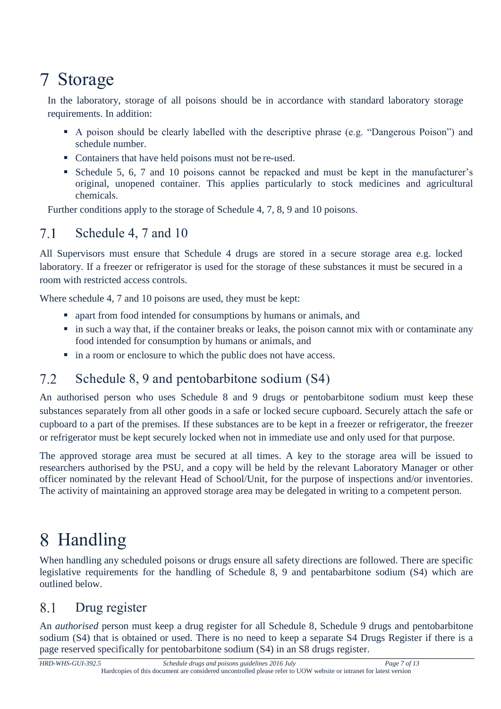# <span id="page-6-0"></span>Storage

In the laboratory, storage of all poisons should be in accordance with standard laboratory storage requirements. In addition:

- A poison should be clearly labelled with the descriptive phrase (e.g. "Dangerous Poison") and schedule number.
- Containers that have held poisons must not be re-used.
- Schedule 5, 6, 7 and 10 poisons cannot be repacked and must be kept in the manufacturer's original, unopened container. This applies particularly to stock medicines and agricultural chemicals.

Further conditions apply to the storage of Schedule 4, 7, 8, 9 and 10 poisons.

### <span id="page-6-1"></span> $7.1$ Schedule 4, 7 and 10

All Supervisors must ensure that Schedule 4 drugs are stored in a secure storage area e.g. locked laboratory. If a freezer or refrigerator is used for the storage of these substances it must be secured in a room with restricted access controls.

Where schedule 4, 7 and 10 poisons are used, they must be kept:

- apart from food intended for consumptions by humans or animals, and
- in such a way that, if the container breaks or leaks, the poison cannot mix with or contaminate any food intended for consumption by humans or animals, and
- $\blacksquare$  in a room or enclosure to which the public does not have access.

### <span id="page-6-2"></span>Schedule 8, 9 and pentobarbitone sodium (S4)  $7.2$

An authorised person who uses Schedule 8 and 9 drugs or pentobarbitone sodium must keep these substances separately from all other goods in a safe or locked secure cupboard. Securely attach the safe or cupboard to a part of the premises. If these substances are to be kept in a freezer or refrigerator, the freezer or refrigerator must be kept securely locked when not in immediate use and only used for that purpose.

The approved storage area must be secured at all times. A key to the storage area will be issued to researchers authorised by the PSU, and a copy will be held by the relevant Laboratory Manager or other officer nominated by the relevant Head of School/Unit, for the purpose of inspections and/or inventories. The activity of maintaining an approved storage area may be delegated in writing to a competent person.

# <span id="page-6-3"></span>Handling

When handling any scheduled poisons or drugs ensure all safety directions are followed. There are specific legislative requirements for the handling of Schedule 8, 9 and pentabarbitone sodium (S4) which are outlined below.

### <span id="page-6-4"></span>8.1 Drug register

An *authorised* person must keep a drug register for all Schedule 8, Schedule 9 drugs and pentobarbitone sodium (S4) that is obtained or used. There is no need to keep a separate S4 Drugs Register if there is a page reserved specifically for pentobarbitone sodium (S4) in an S8 drugs register.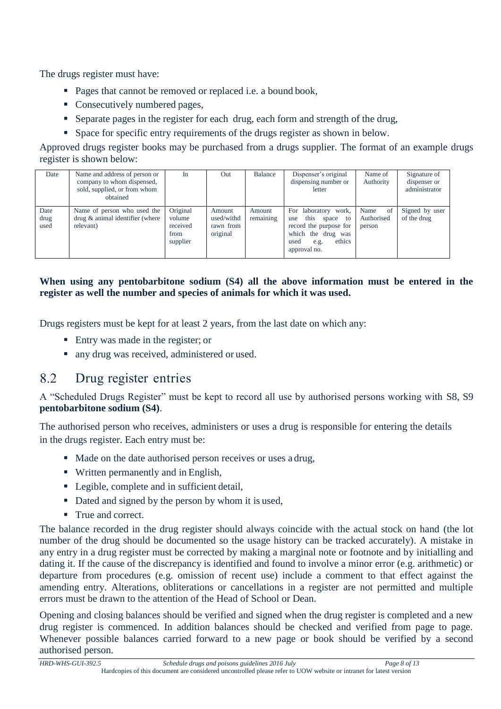The drugs register must have:

- Pages that cannot be removed or replaced i.e. a bound book,
- Consecutively numbered pages,
- Separate pages in the register for each drug, each form and strength of the drug,
- Space for specific entry requirements of the drugs register as shown in below.

Approved drugs register books may be purchased from a drugs supplier. The format of an example drugs register is shown below:

| Date                 | Name and address of person or<br>company to whom dispensed,<br>sold, supplied, or from whom<br>obtained | In                                                 | Out                                           | Balance             | Dispenser's original<br>dispensing number or<br>letter                                                                                    | Name of<br>Authority                          | Signature of<br>dispenser or<br>administrator |
|----------------------|---------------------------------------------------------------------------------------------------------|----------------------------------------------------|-----------------------------------------------|---------------------|-------------------------------------------------------------------------------------------------------------------------------------------|-----------------------------------------------|-----------------------------------------------|
| Date<br>drug<br>used | Name of person who used the<br>drug & animal identifier (where<br>relevant)                             | Original<br>volume<br>received<br>from<br>supplier | Amount<br>used/withd<br>rawn from<br>original | Amount<br>remaining | laboratory work,<br>For<br>this space to<br>use<br>record the purpose for<br>which the drug was<br>ethics<br>used<br>e.g.<br>approval no. | Name<br><sub>of</sub><br>Authorised<br>person | Signed by user<br>of the drug                 |

### **When using any pentobarbitone sodium (S4) all the above information must be entered in the register as well the number and species of animals for which it was used.**

Drugs registers must be kept for at least 2 years, from the last date on which any:

- Entry was made in the register; or
- nany drug was received, administered or used.

### <span id="page-7-0"></span>8.2 Drug register entries

A "Scheduled Drugs Register" must be kept to record all use by authorised persons working with S8, S9 **pentobarbitone sodium (S4)**.

The authorised person who receives, administers or uses a drug is responsible for entering the details in the drugs register. Each entry must be:

- Made on the date authorised person receives or uses a drug,
- Written permanently and in English,
- Legible, complete and in sufficient detail,
- Dated and signed by the person by whom it is used,
- True and correct.

The balance recorded in the drug register should always coincide with the actual stock on hand (the lot number of the drug should be documented so the usage history can be tracked accurately). A mistake in any entry in a drug register must be corrected by making a marginal note or footnote and by initialling and dating it. If the cause of the discrepancy is identified and found to involve a minor error (e.g. arithmetic) or departure from procedures (e.g. omission of recent use) include a comment to that effect against the amending entry. Alterations, obliterations or cancellations in a register are not permitted and multiple errors must be drawn to the attention of the Head of School or Dean.

Opening and closing balances should be verified and signed when the drug register is completed and a new drug register is commenced. In addition balances should be checked and verified from page to page. Whenever possible balances carried forward to a new page or book should be verified by a second authorised person.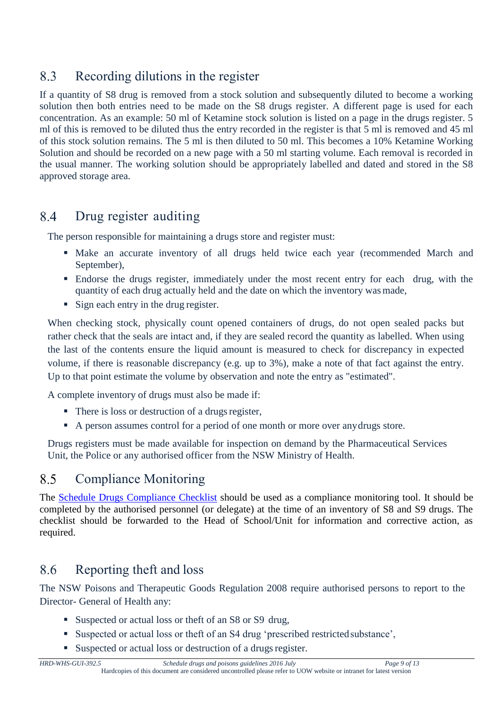### <span id="page-8-0"></span>8.3 Recording dilutions in the register

If a quantity of S8 drug is removed from a stock solution and subsequently diluted to become a working solution then both entries need to be made on the S8 drugs register. A different page is used for each concentration. As an example: 50 ml of Ketamine stock solution is listed on a page in the drugs register. 5 ml of this is removed to be diluted thus the entry recorded in the register is that 5 ml is removed and 45 ml of this stock solution remains. The 5 ml is then diluted to 50 ml. This becomes a 10% Ketamine Working Solution and should be recorded on a new page with a 50 ml starting volume. Each removal is recorded in the usual manner. The working solution should be appropriately labelled and dated and stored in the S8 approved storage area.

### <span id="page-8-1"></span>8.4 Drug register auditing

The person responsible for maintaining a drugs store and register must:

- Make an accurate inventory of all drugs held twice each year (recommended March and September),
- Endorse the drugs register, immediately under the most recent entry for each drug, with the quantity of each drug actually held and the date on which the inventory wasmade,
- Sign each entry in the drug register.

When checking stock, physically count opened containers of drugs, do not open sealed packs but rather check that the seals are intact and, if they are sealed record the quantity as labelled. When using the last of the contents ensure the liquid amount is measured to check for discrepancy in expected volume, if there is reasonable discrepancy (e.g. up to 3%), make a note of that fact against the entry. Up to that point estimate the volume by observation and note the entry as "estimated".

A complete inventory of drugs must also be made if:

- $\blacksquare$  There is loss or destruction of a drugs register,
- A person assumes control for a period of one month or more over any drugs store.

Drugs registers must be made available for inspection on demand by the Pharmaceutical Services Unit, the Police or any authorised officer from the NSW Ministry of Health.

### <span id="page-8-2"></span>8.5 Compliance Monitoring

The [Schedule Drugs](http://cmsprd.uow.edu.au/content/groups/public/@web/@ohs/documents/doc/uow106142.pdf) Compliance Checklist should be used as a compliance monitoring tool. It should be completed by the authorised personnel (or delegate) at the time of an inventory of S8 and S9 drugs. The checklist should be forwarded to the Head of School/Unit for information and corrective action, as required.

### <span id="page-8-3"></span>8.6 Reporting theft and loss

The NSW Poisons and Therapeutic Goods Regulation 2008 require authorised persons to report to the Director- General of Health any:

- Suspected or actual loss or theft of an S8 or S9 drug,
- Suspected or actual loss or theft of an S4 drug 'prescribed restrictedsubstance',

Suspected or actual loss or destruction of a drugs register.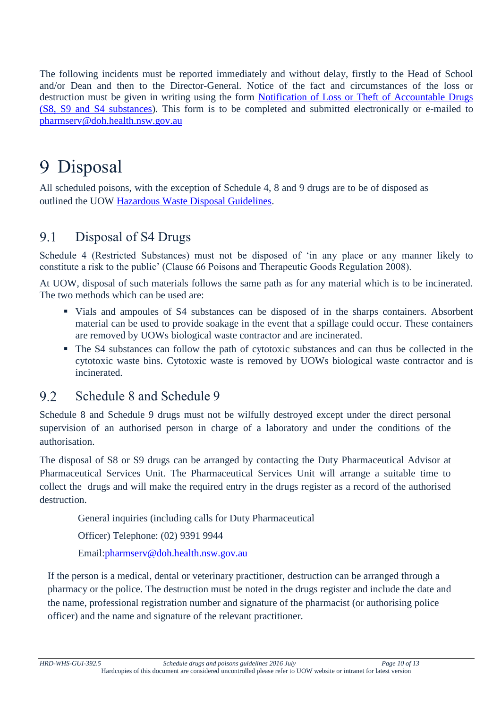The following incidents must be reported immediately and without delay, firstly to the Head of School and/or Dean and then to the Director-General. Notice of the fact and circumstances of the loss or destruction must be given in writing using the form [Notification of Loss or Theft of Accountable Drugs](http://www.health.nsw.gov.au/pharmaceutical/Documents/loststolen.pdf)  (S8, S9 [and S4 substances\)](http://www.health.nsw.gov.au/pharmaceutical/Documents/loststolen.pdf). This form is to be completed and submitted electronically or e-mailed to [pharmserv@doh.health.nsw.gov.au](mailto:pharmserv@doh.health.nsw.gov.au) 

## <span id="page-9-0"></span>9 Disposal

All scheduled poisons, with the exception of Schedule 4, 8 and 9 drugs are to be of disposed as outlined the UOW [Hazardous Waste Disposal Guidelines](http://staff.uow.edu.au/content/groups/public/@web/@ohs/documents/doc/uow017032.pdf)[.](http://sydney.edu.au/whs/guidelines/hazardouswaste/index.shtml)

#### <span id="page-9-1"></span>9.1 Disposal of S4 Drugs

Schedule 4 (Restricted Substances) must not be disposed of 'in any place or any manner likely to constitute a risk to the public' (Clause 66 Poisons and Therapeutic Goods Regulation 2008).

At UOW, disposal of such materials follows the same path as for any material which is to be incinerated. The two methods which can be used are:

- Vials and ampoules of S4 substances can be disposed of in the sharps containers. Absorbent material can be used to provide soakage in the event that a spillage could occur. These containers are removed by UOWs biological waste contractor and are incinerated.
- The S4 substances can follow the path of cytotoxic substances and can thus be collected in the cytotoxic waste bins. Cytotoxic waste is removed by UOWs biological waste contractor and is incinerated.

#### <span id="page-9-2"></span> $9.2$ Schedule 8 and Schedule 9

Schedule 8 and Schedule 9 drugs must not be wilfully destroyed except under the direct personal supervision of an authorised person in charge of a laboratory and under the conditions of the authorisation.

The disposal of S8 or S9 drugs can be arranged by contacting the Duty Pharmaceutical Advisor at Pharmaceutical Services Unit. The Pharmaceutical Services Unit will arrange a suitable time to collect the drugs and will make the required entry in the drugs register as a record of the authorised destruction.

General inquiries (including calls for Duty Pharmaceutical

Officer) Telephone: (02) 9391 9944

Email[:pharmserv@doh.health.nsw.gov.au](mailto:pharmserv@doh.health.nsw.gov.au)

If the person is a medical, dental or veterinary practitioner, destruction can be arranged through a pharmacy or the police. The destruction must be noted in the drugs register and include the date and the name, professional registration number and signature of the pharmacist (or authorising police officer) and the name and signature of the relevant practitioner.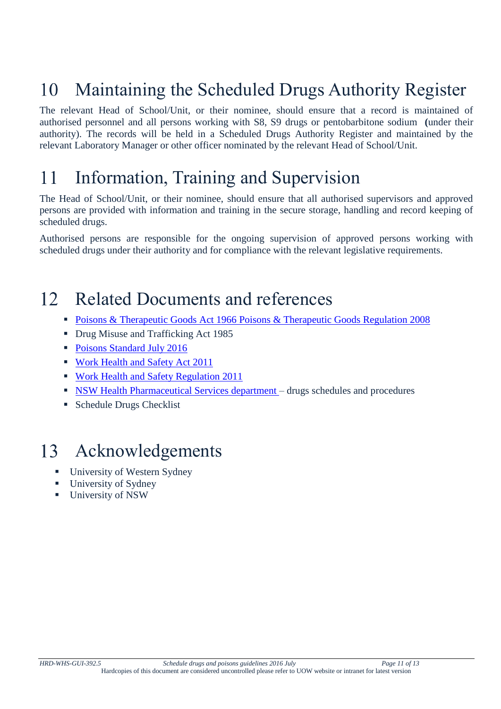### <span id="page-10-0"></span>Maintaining the Scheduled Drugs Authority Register 10

The relevant Head of School/Unit, or their nominee, should ensure that a record is maintained of authorised personnel and all persons working with S8, S9 drugs or pentobarbitone sodium **(**under their authority). The records will be held in a Scheduled Drugs Authority Register and maintained by the relevant Laboratory Manager or other officer nominated by the relevant Head of School/Unit.

### <span id="page-10-1"></span>Information, Training and Supervision 11

The Head of School/Unit, or their nominee, should ensure that all authorised supervisors and approved persons are provided with information and training in the secure storage, handling and record keeping of scheduled drugs.

Authorised persons are responsible for the ongoing supervision of approved persons working with scheduled drugs under their authority and for compliance with the relevant legislative requirements.

### <span id="page-10-2"></span> $12<sup>1</sup>$ Related Documents and references

- [Poisons & Therapeutic Goods Act 1966](http://www.legislation.nsw.gov.au/maintop/view/inforce/act%2B31%2B1966%2Bcd%2B0%2BN) [Poisons & Therapeutic Goods Regulation 2008](http://www.legislation.nsw.gov.au/maintop/view/inforce/subordleg%2B392%2B2008%2Bcd%2B0%2BN)
- Drug Misuse and Trafficking Act 1985
- [Poisons Standard July 2016](https://www.legislation.gov.au/Details/F2016L01071)
- [Work Health and Safety Act 2011](http://www.legislation.nsw.gov.au/maintop/view/inforce/act%2B10%2B2011%2Bcd%2B0%2BN)
- **[Work Health and Safety Regulation 2011](http://www.legislation.nsw.gov.au/maintop/view/inforce/subordleg%2B674%2B2011%2Bcd%2B0%2BN)**
- **NSW Health Pharmaceutical Services department** drugs schedules and procedures
- Schedule Drugs Checklist

### <span id="page-10-3"></span> $13<sup>7</sup>$ Acknowledgements

- University of Western Sydney
- University of Sydney
- University of NSW